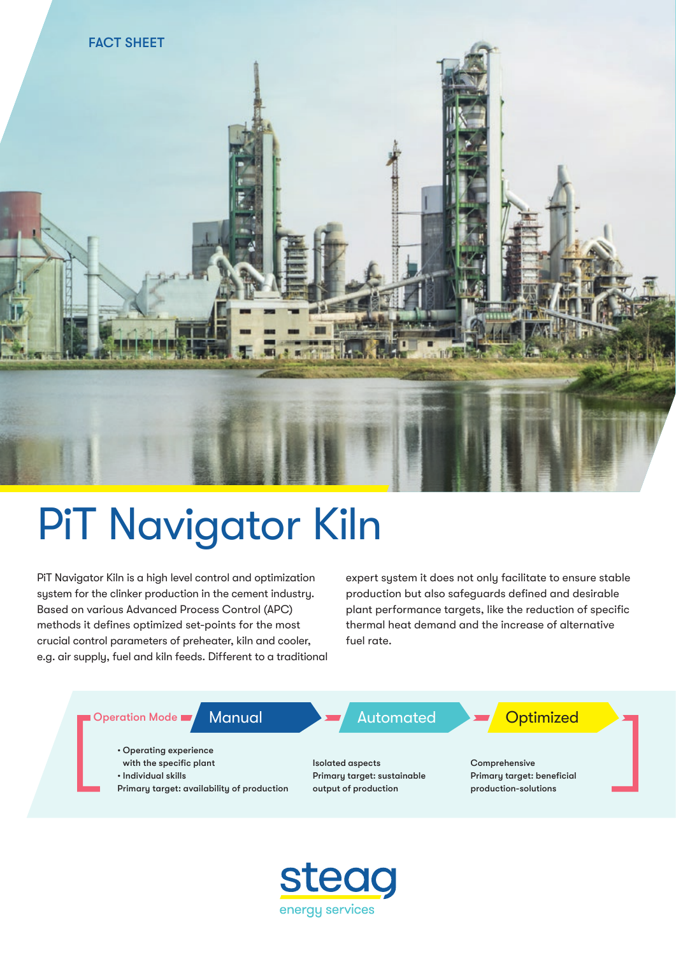

# PiT Navigator Kiln

PiT Navigator Kiln is a high level control and optimization system for the clinker production in the cement industry. Based on various Advanced Process Control (APC) methods it defines optimized set-points for the most crucial control parameters of preheater, kiln and cooler, e.g. air supply, fuel and kiln feeds. Different to a traditional expert system it does not only facilitate to ensure stable production but also safeguards defined and desirable plant performance targets, like the reduction of specific thermal heat demand and the increase of alternative fuel rate.



![](_page_0_Picture_5.jpeg)